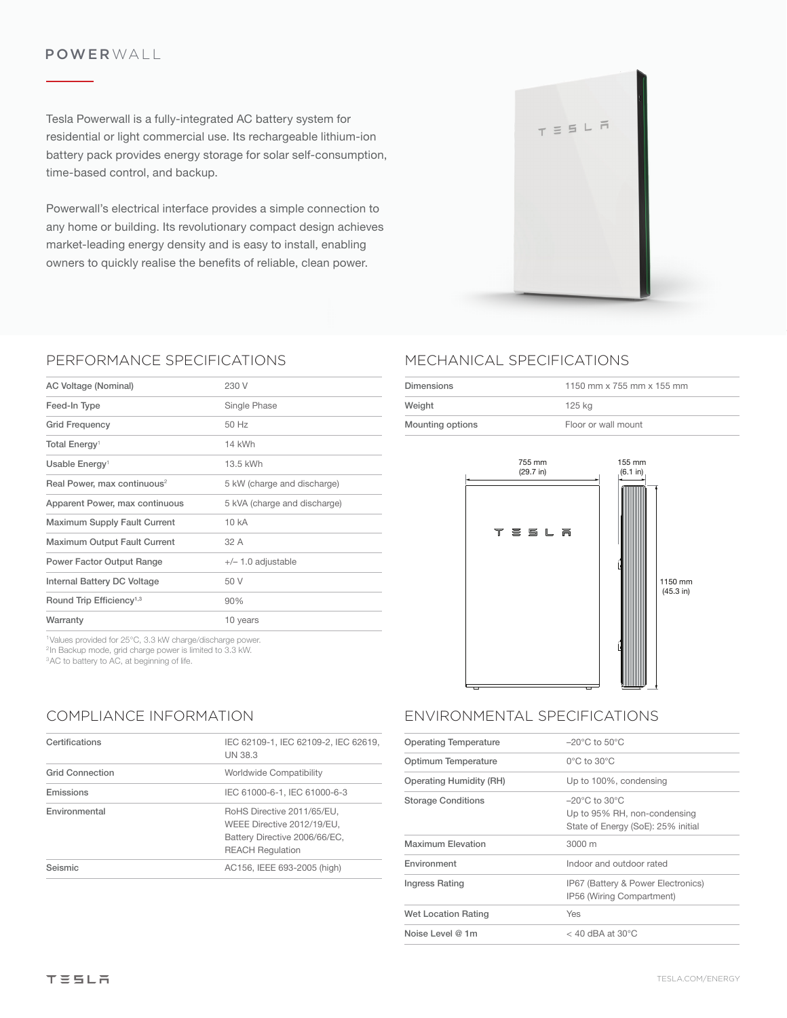#### POWERWALL

Tesla Powerwall is a fully-integrated AC battery system for residential or light commercial use. Its rechargeable lithium-ion battery pack provides energy storage for solar self-consumption, time-based control, and backup.

Powerwall's electrical interface provides a simple connection to any home or building. Its revolutionary compact design achieves market-leading energy density and is easy to install, enabling owners to quickly realise the benefits of reliable, clean power.



### PERFORMANCE SPECIFICATIONS

| AC Voltage (Nominal)                    | 230 V                        |
|-----------------------------------------|------------------------------|
| Feed-In Type                            | Single Phase                 |
| <b>Grid Frequency</b>                   | 50 Hz                        |
| Total Energy <sup>1</sup>               | 14 kWh                       |
| Usable Energy <sup>1</sup>              | 13.5 kWh                     |
| Real Power, max continuous <sup>2</sup> | 5 kW (charge and discharge)  |
| Apparent Power, max continuous          | 5 kVA (charge and discharge) |
| <b>Maximum Supply Fault Current</b>     | 10 kA                        |
| Maximum Output Fault Current            | 32 A                         |
| Power Factor Output Range               | $+/- 1.0$ adjustable         |
| Internal Battery DC Voltage             | 50 V                         |
| Round Trip Efficiency <sup>1,3</sup>    | 90%                          |
| Warranty                                | 10 years                     |
|                                         |                              |

1Values provided for 25°C, 3.3 kW charge/discharge power. <sup>2</sup>In Backup mode, grid charge power is limited to 3.3 kW. <sup>3</sup>AC to battery to AC, at beginning of life.

## COMPLIANCE INFORMATION

| Certifications         | IEC 62109-1, IEC 62109-2, IEC 62619,<br><b>UN 38.3</b>                                                               |
|------------------------|----------------------------------------------------------------------------------------------------------------------|
| <b>Grid Connection</b> | Worldwide Compatibility                                                                                              |
| Emissions              | IEC 61000-6-1, IEC 61000-6-3                                                                                         |
| Environmental          | RoHS Directive 2011/65/EU,<br>WEEE Directive 2012/19/EU,<br>Battery Directive 2006/66/EC,<br><b>REACH Regulation</b> |
| Seismic                | AC156, IEEE 693-2005 (high)                                                                                          |

# MECHANICAL SPECIFICATIONS

| Dimensions       | 1150 mm x 755 mm x 155 mm |
|------------------|---------------------------|
| Weight           | 125 ka                    |
| Mounting options | Floor or wall mount       |



## ENVIRONMENTAL SPECIFICATIONS

| <b>Operating Temperature</b>   | $-20^{\circ}$ C to $50^{\circ}$ C                                                                       |
|--------------------------------|---------------------------------------------------------------------------------------------------------|
| Optimum Temperature            | $0^{\circ}$ C to $30^{\circ}$ C                                                                         |
| <b>Operating Humidity (RH)</b> | Up to 100%, condensing                                                                                  |
| <b>Storage Conditions</b>      | $-20^{\circ}$ C to $30^{\circ}$ C<br>Up to 95% RH, non-condensing<br>State of Energy (SoE): 25% initial |
| Maximum Flevation              | 3000 m                                                                                                  |
| Environment                    | Indoor and outdoor rated                                                                                |
| Ingress Rating                 | IP67 (Battery & Power Electronics)<br>IP56 (Wiring Compartment)                                         |
| Wet Location Rating            | Yes                                                                                                     |
| Noise Level $@1m$              | $<$ 40 dBA at 30 $^{\circ}$ C                                                                           |